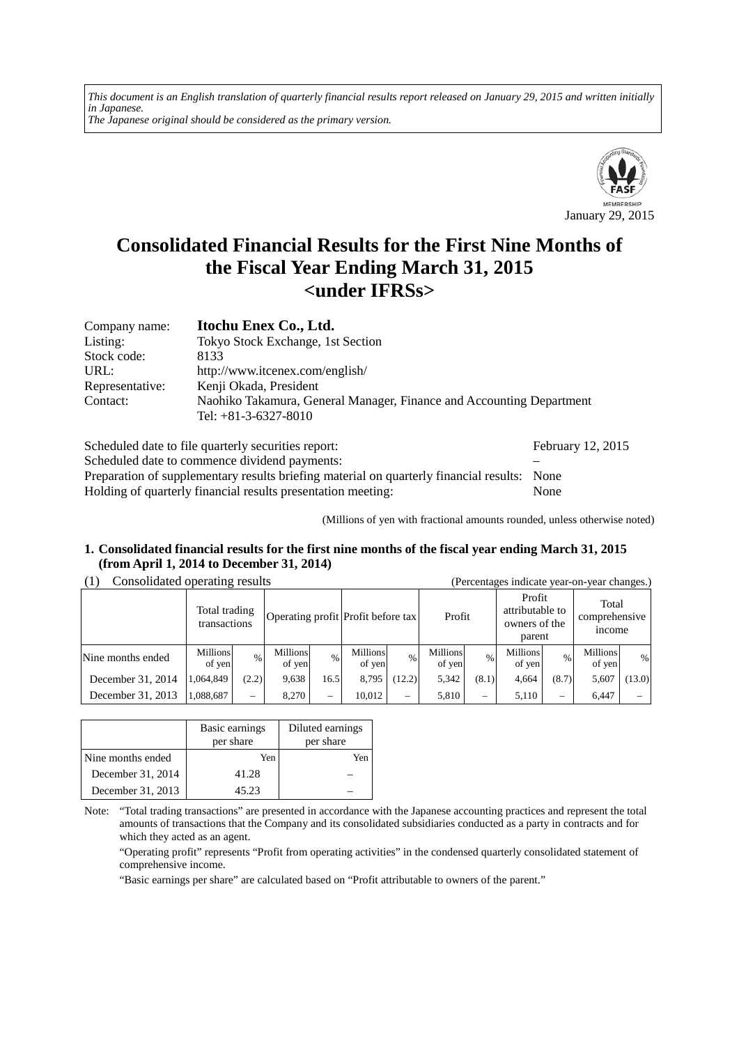*This document is an English translation of quarterly financial results report released on January 29, 2015 and written initially in Japanese. The Japanese original should be considered as the primary version.*



# **Consolidated Financial Results for the First Nine Months of the Fiscal Year Ending March 31, 2015 <under IFRSs>**

| Company name:   | Itochu Enex Co., Ltd.                                                                          |
|-----------------|------------------------------------------------------------------------------------------------|
| Listing:        | Tokyo Stock Exchange, 1st Section                                                              |
| Stock code:     | 8133                                                                                           |
| URL:            | http://www.itcenex.com/english/                                                                |
| Representative: | Kenji Okada, President                                                                         |
| Contact:        | Naohiko Takamura, General Manager, Finance and Accounting Department<br>Tel: $+81-3-6327-8010$ |

| Scheduled date to file quarterly securities report:                                         | February 12, 2015 |
|---------------------------------------------------------------------------------------------|-------------------|
| Scheduled date to commence dividend payments:                                               |                   |
| Preparation of supplementary results briefing material on quarterly financial results: None |                   |
| Holding of quarterly financial results presentation meeting:                                | None              |

(Millions of yen with fractional amounts rounded, unless otherwise noted)

## **1. Consolidated financial results for the first nine months of the fiscal year ending March 31, 2015 (from April 1, 2014 to December 31, 2014)**

## (1) Consolidated operating results (Percentages indicate year-on-year changes.)

|                   | Total trading<br>transactions |       | Operating profit Profit before tax |      |                           |                   | Profit                    |               | Profit<br>attributable to<br>owners of the<br>parent |       | Total<br>comprehensive<br><i>n</i> come |        |
|-------------------|-------------------------------|-------|------------------------------------|------|---------------------------|-------------------|---------------------------|---------------|------------------------------------------------------|-------|-----------------------------------------|--------|
| Nine months ended | <b>Millions</b><br>of yen     | $\%$  | <b>Millions</b><br>of yen          | $\%$ | <b>Millions</b><br>of yen | $\%$              | <b>Millions</b><br>of yen | $\frac{0}{0}$ | Millions<br>of yen                                   | $\%$  | Millions<br>of yen                      | %      |
| December 31, 2014 | 1.064.849                     | (2.2) | 9,638                              | 16.5 | 8,795                     | (12.2)            | 5,342                     | (8.1)         | 4.664                                                | (8.7) | 5,607                                   | (13.0) |
| December 31, 2013 | 1,088,687                     |       | 8.270                              |      | 10.012                    | $\hspace{0.05cm}$ | 5,810                     |               | 5,110                                                |       | 6,447                                   |        |

|                   | Basic earnings<br>per share | Diluted earnings<br>per share |
|-------------------|-----------------------------|-------------------------------|
| Nine months ended | Yen                         | Yen                           |
| December 31, 2014 | 41.28                       |                               |
| December 31, 2013 | 45.23                       |                               |

Note: "Total trading transactions" are presented in accordance with the Japanese accounting practices and represent the total amounts of transactions that the Company and its consolidated subsidiaries conducted as a party in contracts and for which they acted as an agent.

"Operating profit" represents "Profit from operating activities" in the condensed quarterly consolidated statement of comprehensive income.

"Basic earnings per share" are calculated based on "Profit attributable to owners of the parent."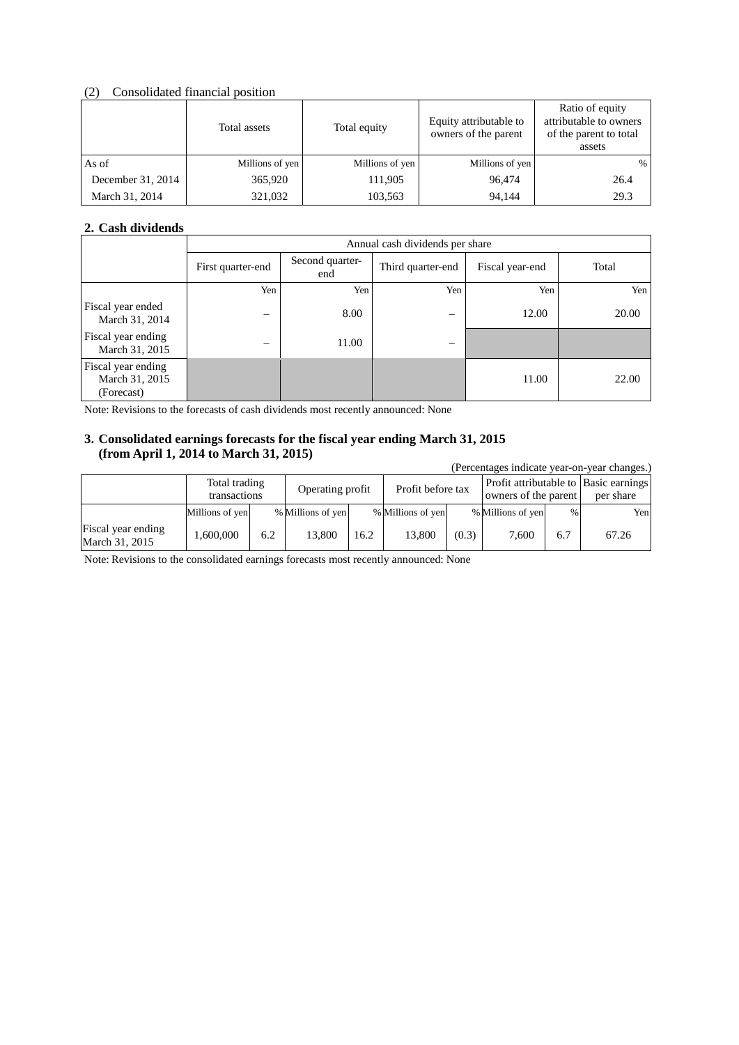### (2) Consolidated financial position

|                   | Total assets    | Total equity    | Equity attributable to<br>owners of the parent | Ratio of equity<br>attributable to owners<br>of the parent to total<br>assets |
|-------------------|-----------------|-----------------|------------------------------------------------|-------------------------------------------------------------------------------|
| As of             | Millions of yen | Millions of yen | Millions of yen                                | %                                                                             |
| December 31, 2014 | 365,920         | 111.905         | 96.474                                         | 26.4                                                                          |
| March 31, 2014    | 321,032         | 103,563         | 94,144                                         | 29.3                                                                          |

## **2. Cash dividends**

|                                                    | Annual cash dividends per share |                        |                          |                 |       |  |
|----------------------------------------------------|---------------------------------|------------------------|--------------------------|-----------------|-------|--|
|                                                    | First quarter-end               | Second quarter-<br>end | Third quarter-end        | Fiscal year-end | Total |  |
|                                                    | Yen                             | Yen                    | Yen                      | Yen             | Yen   |  |
| Fiscal year ended<br>March 31, 2014                | -                               | 8.00                   | $\overline{\phantom{m}}$ | 12.00           | 20.00 |  |
| Fiscal year ending<br>March 31, 2015               | -                               | 11.00                  | $\overline{\phantom{0}}$ |                 |       |  |
| Fiscal year ending<br>March 31, 2015<br>(Forecast) |                                 |                        |                          | 11.00           | 22.00 |  |

Note: Revisions to the forecasts of cash dividends most recently announced: None

## **3. Consolidated earnings forecasts for the fiscal year ending March 31, 2015 (from April 1, 2014 to March 31, 2015)**

| (Percentages indicate year-on-year changes.) |                               |     |                   |      |                   |       |                      |               |                                                    |
|----------------------------------------------|-------------------------------|-----|-------------------|------|-------------------|-------|----------------------|---------------|----------------------------------------------------|
|                                              | Total trading<br>transactions |     | Operating profit  |      | Profit before tax |       | owners of the parent |               | Profit attributable to Basic earnings<br>per share |
|                                              | Millions of yen               |     | % Millions of yen |      | % Millions of yen |       | % Millions of yen    | $\frac{0}{0}$ | Yenl                                               |
| Fiscal year ending<br>March 31, 2015         | 1.600.000                     | 6.2 | 13,800            | 16.2 | 13.800            | (0.3) | 7,600                | 6.7           | 67.26                                              |

Note: Revisions to the consolidated earnings forecasts most recently announced: None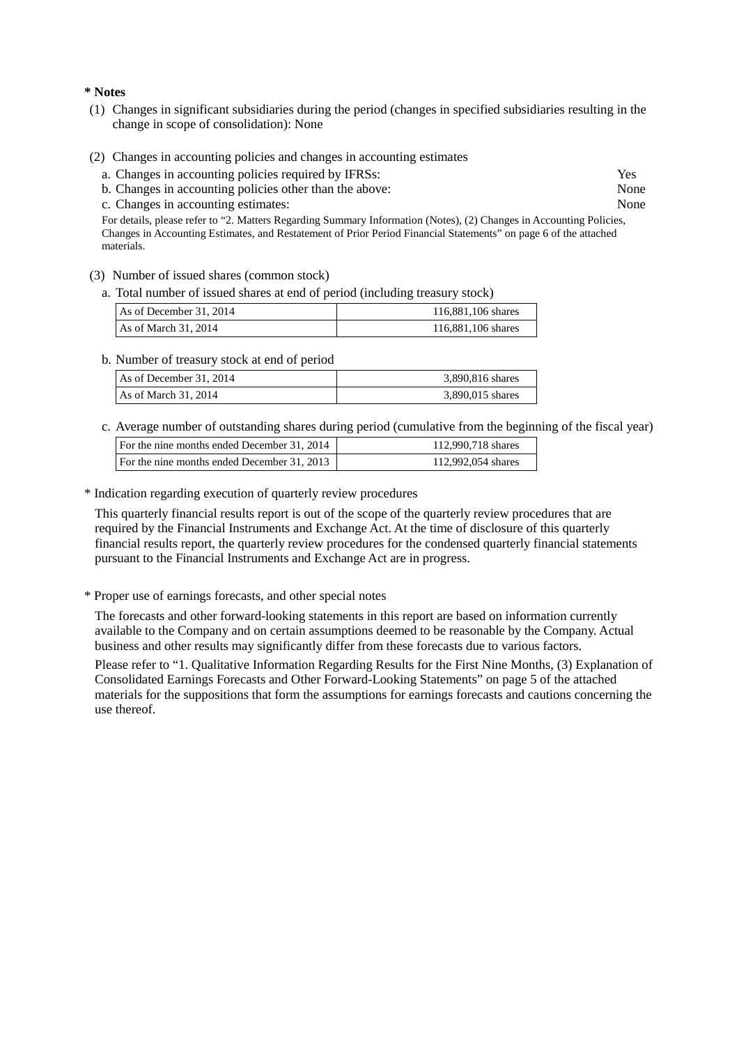#### **\* Notes**

- (1) Changes in significant subsidiaries during the period (changes in specified subsidiaries resulting in the change in scope of consolidation): None
- (2) Changes in accounting policies and changes in accounting estimates
	- a. Changes in accounting policies required by IFRSs: Yes
	- b. Changes in accounting policies other than the above: None
	- c. Changes in accounting estimates: None

For details, please refer to "2. Matters Regarding Summary Information (Notes), (2) Changes in Accounting Policies, Changes in Accounting Estimates, and Restatement of Prior Period Financial Statements" on page 6 of the attached materials.

- (3) Number of issued shares (common stock)
	- a. Total number of issued shares at end of period (including treasury stock)

| As of December 31, 2014 | 116,881,106 shares |
|-------------------------|--------------------|
| As of March 31, 2014    | 116,881,106 shares |

b. Number of treasury stock at end of period

| As of December 31, 2014 | 3,890,816 shares |
|-------------------------|------------------|
| As of March 31, 2014    | 3,890,015 shares |

c. Average number of outstanding shares during period (cumulative from the beginning of the fiscal year)

| For the nine months ended December 31, 2014 | 112,990,718 shares |
|---------------------------------------------|--------------------|
| For the nine months ended December 31, 2013 | 112,992,054 shares |

\* Indication regarding execution of quarterly review procedures

This quarterly financial results report is out of the scope of the quarterly review procedures that are required by the Financial Instruments and Exchange Act. At the time of disclosure of this quarterly financial results report, the quarterly review procedures for the condensed quarterly financial statements pursuant to the Financial Instruments and Exchange Act are in progress.

\* Proper use of earnings forecasts, and other special notes

The forecasts and other forward-looking statements in this report are based on information currently available to the Company and on certain assumptions deemed to be reasonable by the Company. Actual business and other results may significantly differ from these forecasts due to various factors.

Please refer to "1. Qualitative Information Regarding Results for the First Nine Months, (3) Explanation of Consolidated Earnings Forecasts and Other Forward-Looking Statements" on page 5 of the attached materials for the suppositions that form the assumptions for earnings forecasts and cautions concerning the use thereof.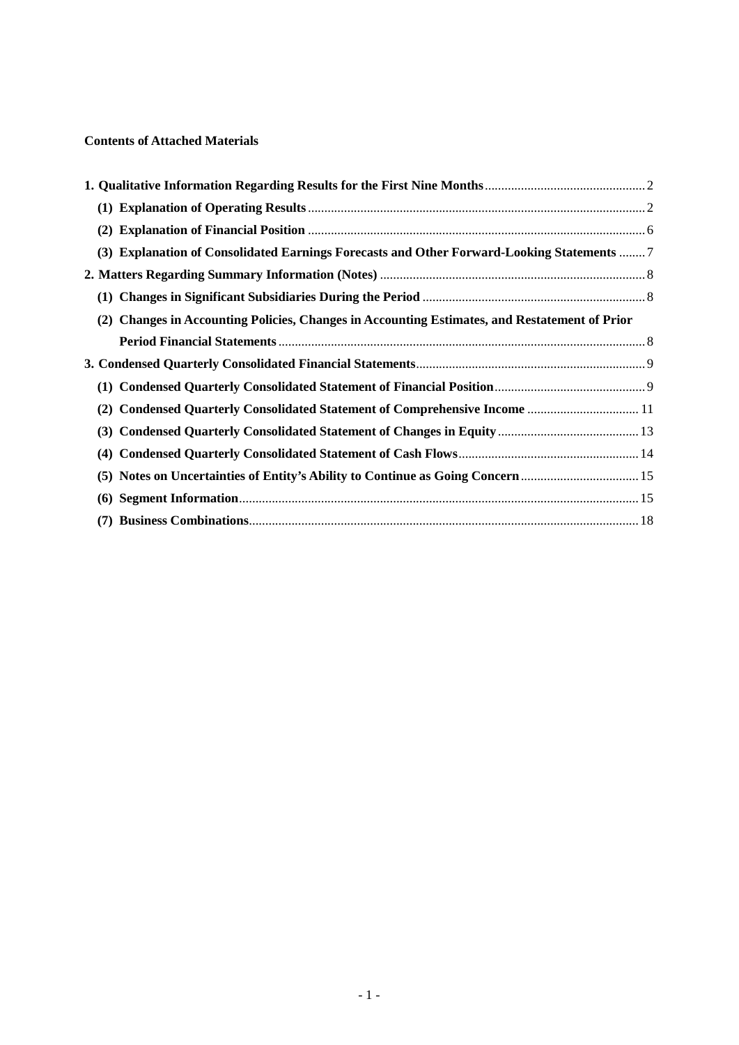## **Contents of Attached Materials**

| (2)                                                                                           |  |
|-----------------------------------------------------------------------------------------------|--|
| (3) Explanation of Consolidated Earnings Forecasts and Other Forward-Looking Statements  7    |  |
|                                                                                               |  |
|                                                                                               |  |
| (2) Changes in Accounting Policies, Changes in Accounting Estimates, and Restatement of Prior |  |
|                                                                                               |  |
|                                                                                               |  |
|                                                                                               |  |
| (2) Condensed Quarterly Consolidated Statement of Comprehensive Income  11                    |  |
|                                                                                               |  |
|                                                                                               |  |
|                                                                                               |  |
|                                                                                               |  |
|                                                                                               |  |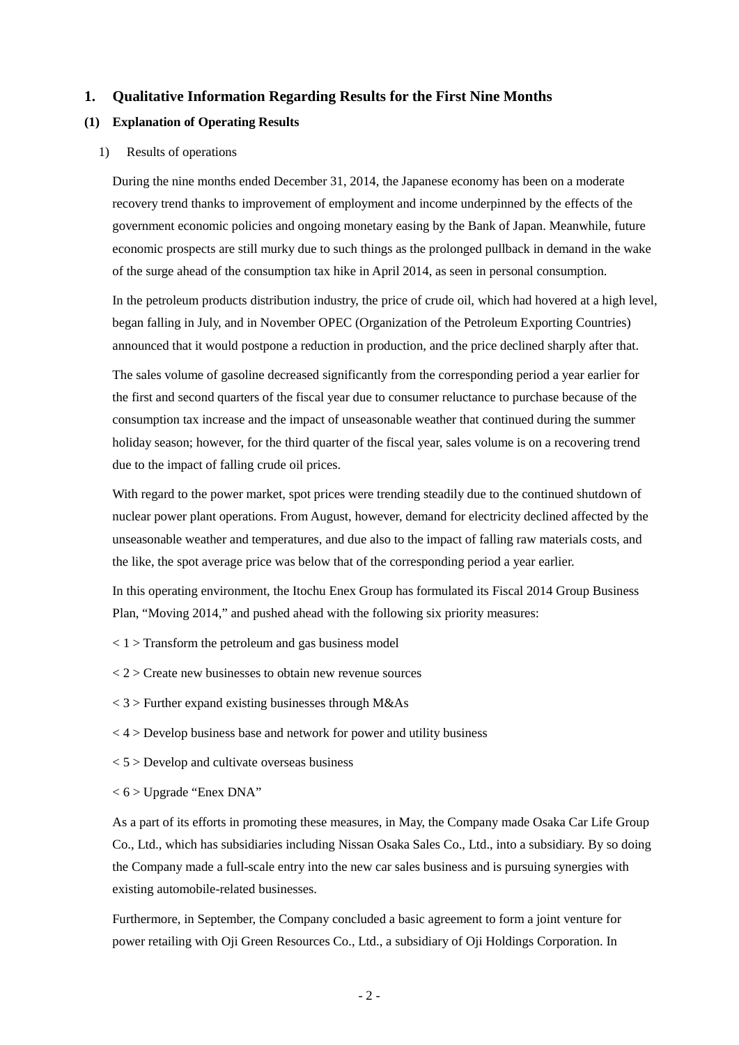#### <span id="page-4-0"></span>**1. Qualitative Information Regarding Results for the First Nine Months**

#### <span id="page-4-1"></span>**(1) Explanation of Operating Results**

#### 1) Results of operations

During the nine months ended December 31, 2014, the Japanese economy has been on a moderate recovery trend thanks to improvement of employment and income underpinned by the effects of the government economic policies and ongoing monetary easing by the Bank of Japan. Meanwhile, future economic prospects are still murky due to such things as the prolonged pullback in demand in the wake of the surge ahead of the consumption tax hike in April 2014, as seen in personal consumption.

In the petroleum products distribution industry, the price of crude oil, which had hovered at a high level, began falling in July, and in November OPEC (Organization of the Petroleum Exporting Countries) announced that it would postpone a reduction in production, and the price declined sharply after that.

The sales volume of gasoline decreased significantly from the corresponding period a year earlier for the first and second quarters of the fiscal year due to consumer reluctance to purchase because of the consumption tax increase and the impact of unseasonable weather that continued during the summer holiday season; however, for the third quarter of the fiscal year, sales volume is on a recovering trend due to the impact of falling crude oil prices.

With regard to the power market, spot prices were trending steadily due to the continued shutdown of nuclear power plant operations. From August, however, demand for electricity declined affected by the unseasonable weather and temperatures, and due also to the impact of falling raw materials costs, and the like, the spot average price was below that of the corresponding period a year earlier.

In this operating environment, the Itochu Enex Group has formulated its Fiscal 2014 Group Business Plan, "Moving 2014," and pushed ahead with the following six priority measures:

- $<$  1 > Transform the petroleum and gas business model
- $<$  2  $>$  Create new businesses to obtain new revenue sources
- $<$  3 > Further expand existing businesses through M&As
- $<$  4 > Develop business base and network for power and utility business
- $< 5$  > Develop and cultivate overseas business
- $<$  6 > Upgrade "Enex DNA"

As a part of its efforts in promoting these measures, in May, the Company made Osaka Car Life Group Co., Ltd., which has subsidiaries including Nissan Osaka Sales Co., Ltd., into a subsidiary. By so doing the Company made a full-scale entry into the new car sales business and is pursuing synergies with existing automobile-related businesses.

Furthermore, in September, the Company concluded a basic agreement to form a joint venture for power retailing with Oji Green Resources Co., Ltd., a subsidiary of Oji Holdings Corporation. In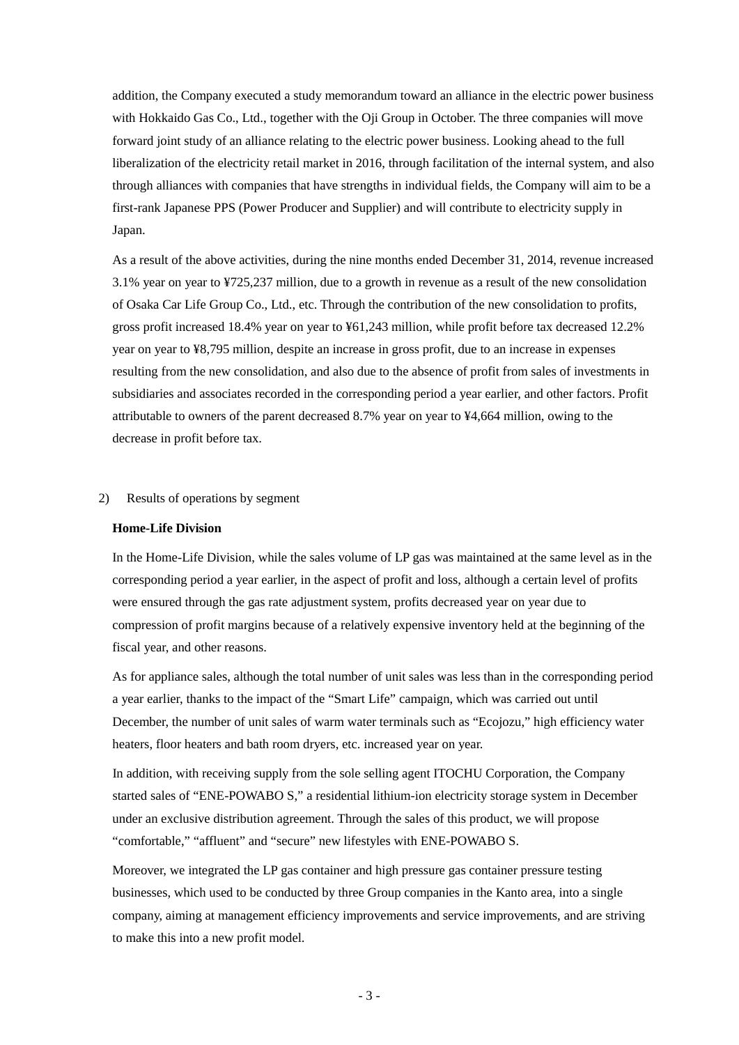addition, the Company executed a study memorandum toward an alliance in the electric power business with Hokkaido Gas Co., Ltd., together with the Oji Group in October. The three companies will move forward joint study of an alliance relating to the electric power business. Looking ahead to the full liberalization of the electricity retail market in 2016, through facilitation of the internal system, and also through alliances with companies that have strengths in individual fields, the Company will aim to be a first-rank Japanese PPS (Power Producer and Supplier) and will contribute to electricity supply in Japan.

As a result of the above activities, during the nine months ended December 31, 2014, revenue increased 3.1% year on year to ¥725,237 million, due to a growth in revenue as a result of the new consolidation of Osaka Car Life Group Co., Ltd., etc. Through the contribution of the new consolidation to profits, gross profit increased 18.4% year on year to ¥61,243 million, while profit before tax decreased 12.2% year on year to ¥8,795 million, despite an increase in gross profit, due to an increase in expenses resulting from the new consolidation, and also due to the absence of profit from sales of investments in subsidiaries and associates recorded in the corresponding period a year earlier, and other factors. Profit attributable to owners of the parent decreased 8.7% year on year to ¥4,664 million, owing to the decrease in profit before tax.

#### 2) Results of operations by segment

#### **Home-Life Division**

In the Home-Life Division, while the sales volume of LP gas was maintained at the same level as in the corresponding period a year earlier, in the aspect of profit and loss, although a certain level of profits were ensured through the gas rate adjustment system, profits decreased year on year due to compression of profit margins because of a relatively expensive inventory held at the beginning of the fiscal year, and other reasons.

As for appliance sales, although the total number of unit sales was less than in the corresponding period a year earlier, thanks to the impact of the "Smart Life" campaign, which was carried out until December, the number of unit sales of warm water terminals such as "Ecojozu," high efficiency water heaters, floor heaters and bath room dryers, etc. increased year on year.

In addition, with receiving supply from the sole selling agent ITOCHU Corporation, the Company started sales of "ENE-POWABO S," a residential lithium-ion electricity storage system in December under an exclusive distribution agreement. Through the sales of this product, we will propose "comfortable," "affluent" and "secure" new lifestyles with ENE-POWABO S.

Moreover, we integrated the LP gas container and high pressure gas container pressure testing businesses, which used to be conducted by three Group companies in the Kanto area, into a single company, aiming at management efficiency improvements and service improvements, and are striving to make this into a new profit model.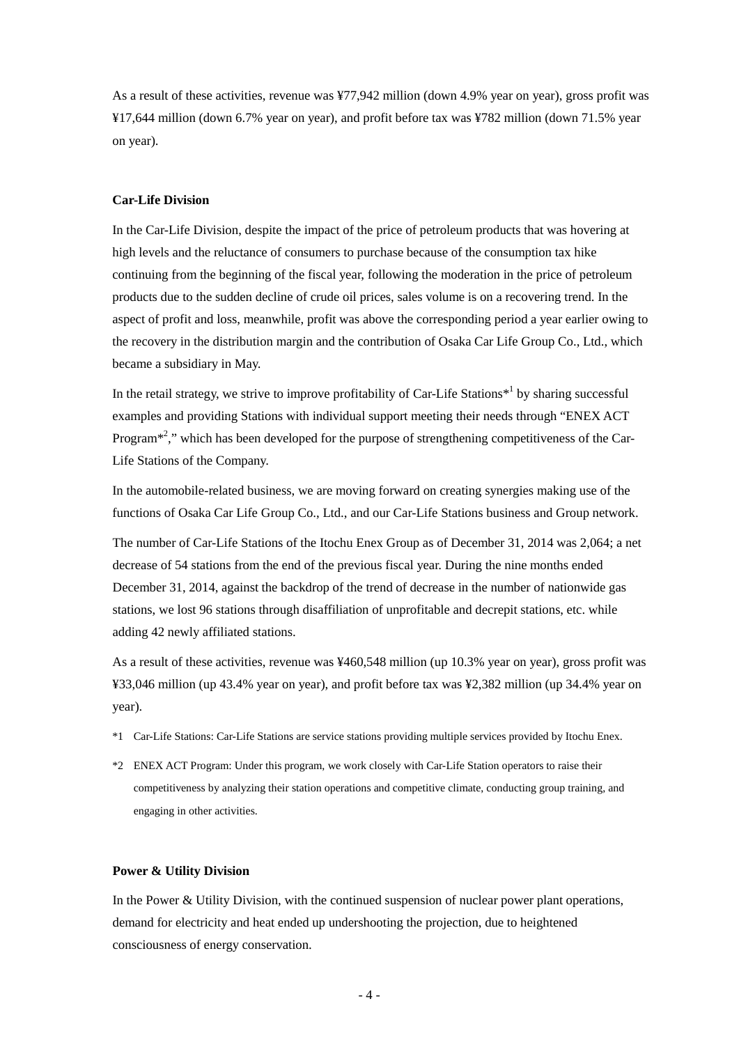As a result of these activities, revenue was ¥77,942 million (down 4.9% year on year), gross profit was ¥17,644 million (down 6.7% year on year), and profit before tax was ¥782 million (down 71.5% year on year).

### **Car-Life Division**

In the Car-Life Division, despite the impact of the price of petroleum products that was hovering at high levels and the reluctance of consumers to purchase because of the consumption tax hike continuing from the beginning of the fiscal year, following the moderation in the price of petroleum products due to the sudden decline of crude oil prices, sales volume is on a recovering trend. In the aspect of profit and loss, meanwhile, profit was above the corresponding period a year earlier owing to the recovery in the distribution margin and the contribution of Osaka Car Life Group Co., Ltd., which became a subsidiary in May.

In the retail strategy, we strive to improve profitability of Car-Life Stations<sup> $*1$ </sup> by sharing successful examples and providing Stations with individual support meeting their needs through "ENEX ACT Program $*^2$ ," which has been developed for the purpose of strengthening competitiveness of the Car-Life Stations of the Company.

In the automobile-related business, we are moving forward on creating synergies making use of the functions of Osaka Car Life Group Co., Ltd., and our Car-Life Stations business and Group network.

The number of Car-Life Stations of the Itochu Enex Group as of December 31, 2014 was 2,064; a net decrease of 54 stations from the end of the previous fiscal year. During the nine months ended December 31, 2014, against the backdrop of the trend of decrease in the number of nationwide gas stations, we lost 96 stations through disaffiliation of unprofitable and decrepit stations, etc. while adding 42 newly affiliated stations.

As a result of these activities, revenue was ¥460,548 million (up 10.3% year on year), gross profit was ¥33,046 million (up 43.4% year on year), and profit before tax was ¥2,382 million (up 34.4% year on year).

- \*1 Car-Life Stations: Car-Life Stations are service stations providing multiple services provided by Itochu Enex.
- \*2 ENEX ACT Program: Under this program, we work closely with Car-Life Station operators to raise their competitiveness by analyzing their station operations and competitive climate, conducting group training, and engaging in other activities.

#### **Power & Utility Division**

In the Power & Utility Division, with the continued suspension of nuclear power plant operations, demand for electricity and heat ended up undershooting the projection, due to heightened consciousness of energy conservation.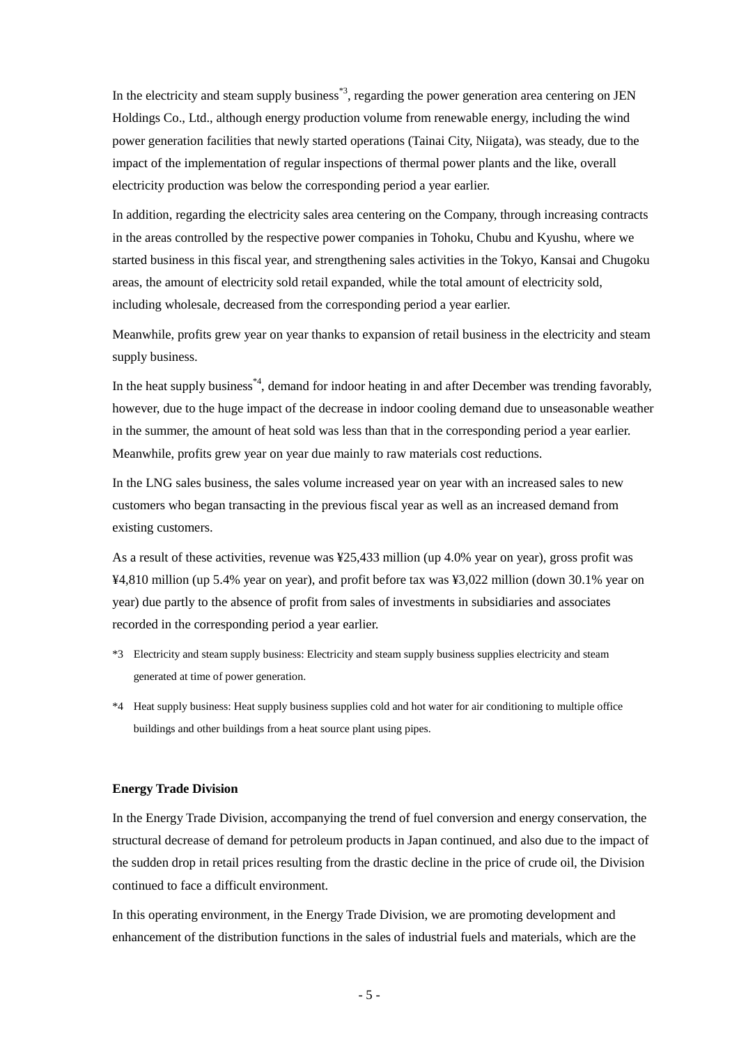In the electricity and steam supply business<sup>\*3</sup>, regarding the power generation area centering on JEN Holdings Co., Ltd., although energy production volume from renewable energy, including the wind power generation facilities that newly started operations (Tainai City, Niigata), was steady, due to the impact of the implementation of regular inspections of thermal power plants and the like, overall electricity production was below the corresponding period a year earlier.

In addition, regarding the electricity sales area centering on the Company, through increasing contracts in the areas controlled by the respective power companies in Tohoku, Chubu and Kyushu, where we started business in this fiscal year, and strengthening sales activities in the Tokyo, Kansai and Chugoku areas, the amount of electricity sold retail expanded, while the total amount of electricity sold, including wholesale, decreased from the corresponding period a year earlier.

Meanwhile, profits grew year on year thanks to expansion of retail business in the electricity and steam supply business.

In the heat supply business<sup>\*4</sup>, demand for indoor heating in and after December was trending favorably, however, due to the huge impact of the decrease in indoor cooling demand due to unseasonable weather in the summer, the amount of heat sold was less than that in the corresponding period a year earlier. Meanwhile, profits grew year on year due mainly to raw materials cost reductions.

In the LNG sales business, the sales volume increased year on year with an increased sales to new customers who began transacting in the previous fiscal year as well as an increased demand from existing customers.

As a result of these activities, revenue was ¥25,433 million (up 4.0% year on year), gross profit was ¥4,810 million (up 5.4% year on year), and profit before tax was ¥3,022 million (down 30.1% year on year) due partly to the absence of profit from sales of investments in subsidiaries and associates recorded in the corresponding period a year earlier.

- \*3 Electricity and steam supply business: Electricity and steam supply business supplies electricity and steam generated at time of power generation.
- \*4 Heat supply business: Heat supply business supplies cold and hot water for air conditioning to multiple office buildings and other buildings from a heat source plant using pipes.

#### **Energy Trade Division**

In the Energy Trade Division, accompanying the trend of fuel conversion and energy conservation, the structural decrease of demand for petroleum products in Japan continued, and also due to the impact of the sudden drop in retail prices resulting from the drastic decline in the price of crude oil, the Division continued to face a difficult environment.

In this operating environment, in the Energy Trade Division, we are promoting development and enhancement of the distribution functions in the sales of industrial fuels and materials, which are the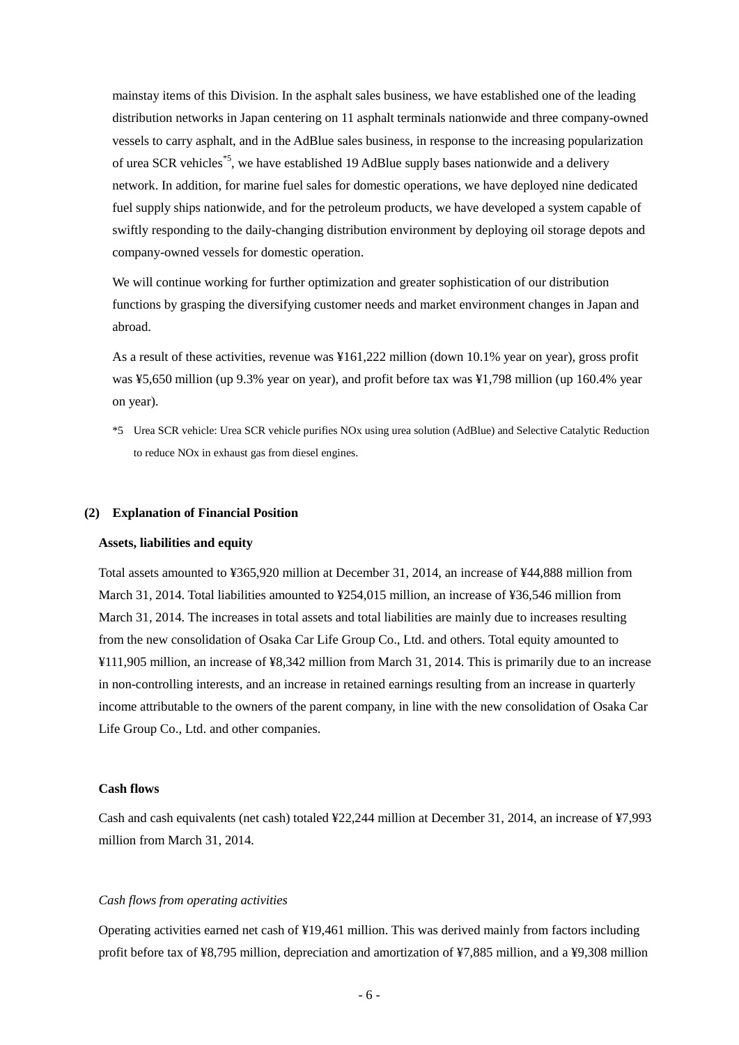mainstay items of this Division. In the asphalt sales business, we have established one of the leading distribution networks in Japan centering on 11 asphalt terminals nationwide and three company-owned vessels to carry asphalt, and in the AdBlue sales business, in response to the increasing popularization of urea SCR vehicles\*5, we have established 19 AdBlue supply bases nationwide and a delivery network. In addition, for marine fuel sales for domestic operations, we have deployed nine dedicated fuel supply ships nationwide, and for the petroleum products, we have developed a system capable of swiftly responding to the daily-changing distribution environment by deploying oil storage depots and company-owned vessels for domestic operation.

We will continue working for further optimization and greater sophistication of our distribution functions by grasping the diversifying customer needs and market environment changes in Japan and abroad.

As a result of these activities, revenue was ¥161,222 million (down 10.1% year on year), gross profit was ¥5,650 million (up 9.3% year on year), and profit before tax was ¥1,798 million (up 160.4% year on year).

\*5 Urea SCR vehicle: Urea SCR vehicle purifies NOx using urea solution (AdBlue) and Selective Catalytic Reduction to reduce NOx in exhaust gas from diesel engines.

#### <span id="page-8-0"></span>**(2) Explanation of Financial Position**

#### **Assets, liabilities and equity**

Total assets amounted to ¥365,920 million at December 31, 2014, an increase of ¥44,888 million from March 31, 2014. Total liabilities amounted to ¥254,015 million, an increase of ¥36,546 million from March 31, 2014. The increases in total assets and total liabilities are mainly due to increases resulting from the new consolidation of Osaka Car Life Group Co., Ltd. and others. Total equity amounted to ¥111,905 million, an increase of ¥8,342 million from March 31, 2014. This is primarily due to an increase in non-controlling interests, and an increase in retained earnings resulting from an increase in quarterly income attributable to the owners of the parent company, in line with the new consolidation of Osaka Car Life Group Co., Ltd. and other companies.

#### **Cash flows**

Cash and cash equivalents (net cash) totaled ¥22,244 million at December 31, 2014, an increase of ¥7,993 million from March 31, 2014.

### *Cash flows from operating activities*

Operating activities earned net cash of ¥19,461 million. This was derived mainly from factors including profit before tax of ¥8,795 million, depreciation and amortization of ¥7,885 million, and a ¥9,308 million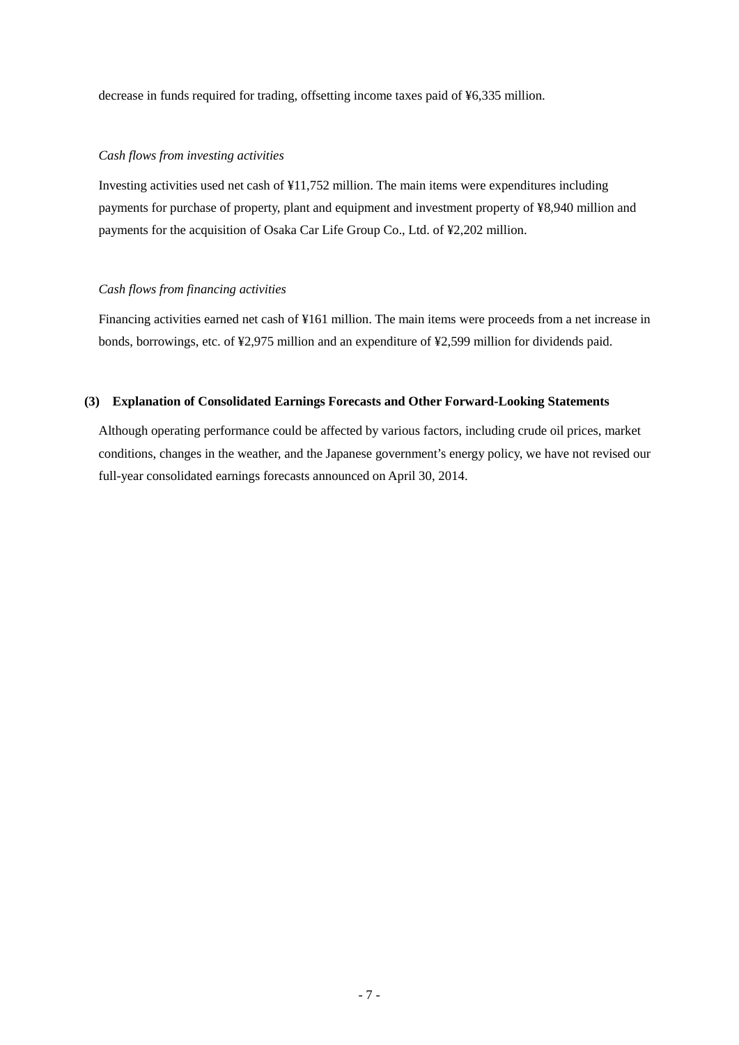decrease in funds required for trading, offsetting income taxes paid of ¥6,335 million.

#### *Cash flows from investing activities*

Investing activities used net cash of ¥11,752 million. The main items were expenditures including payments for purchase of property, plant and equipment and investment property of ¥8,940 million and payments for the acquisition of Osaka Car Life Group Co., Ltd. of ¥2,202 million.

#### *Cash flows from financing activities*

Financing activities earned net cash of ¥161 million. The main items were proceeds from a net increase in bonds, borrowings, etc. of ¥2,975 million and an expenditure of ¥2,599 million for dividends paid.

#### <span id="page-9-0"></span>**(3) Explanation of Consolidated Earnings Forecasts and Other Forward-Looking Statements**

Although operating performance could be affected by various factors, including crude oil prices, market conditions, changes in the weather, and the Japanese government's energy policy, we have not revised our full-year consolidated earnings forecasts announced on April 30, 2014.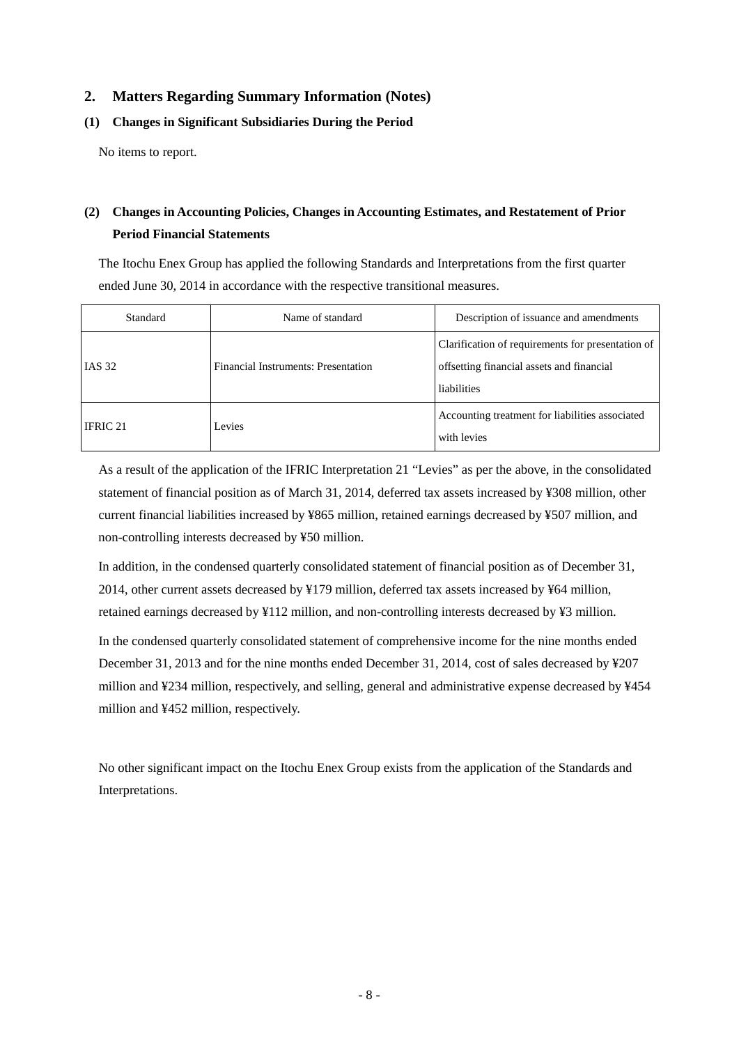## <span id="page-10-0"></span>**2. Matters Regarding Summary Information (Notes)**

## <span id="page-10-1"></span>**(1) Changes in Significant Subsidiaries During the Period**

No items to report.

## <span id="page-10-2"></span>**(2) Changes in Accounting Policies, Changes in Accounting Estimates, and Restatement of Prior Period Financial Statements**

The Itochu Enex Group has applied the following Standards and Interpretations from the first quarter ended June 30, 2014 in accordance with the respective transitional measures.

| Standard      | Name of standard                    | Description of issuance and amendments                                                                        |
|---------------|-------------------------------------|---------------------------------------------------------------------------------------------------------------|
| <b>IAS 32</b> | Financial Instruments: Presentation | Clarification of requirements for presentation of<br>offsetting financial assets and financial<br>liabilities |
| IFRIC 21      | Levies                              | Accounting treatment for liabilities associated<br>with levies                                                |

As a result of the application of the IFRIC Interpretation 21 "Levies" as per the above, in the consolidated statement of financial position as of March 31, 2014, deferred tax assets increased by ¥308 million, other current financial liabilities increased by ¥865 million, retained earnings decreased by ¥507 million, and non-controlling interests decreased by ¥50 million.

In addition, in the condensed quarterly consolidated statement of financial position as of December 31, 2014, other current assets decreased by ¥179 million, deferred tax assets increased by ¥64 million, retained earnings decreased by ¥112 million, and non-controlling interests decreased by ¥3 million.

In the condensed quarterly consolidated statement of comprehensive income for the nine months ended December 31, 2013 and for the nine months ended December 31, 2014, cost of sales decreased by ¥207 million and ¥234 million, respectively, and selling, general and administrative expense decreased by ¥454 million and ¥452 million, respectively.

No other significant impact on the Itochu Enex Group exists from the application of the Standards and Interpretations.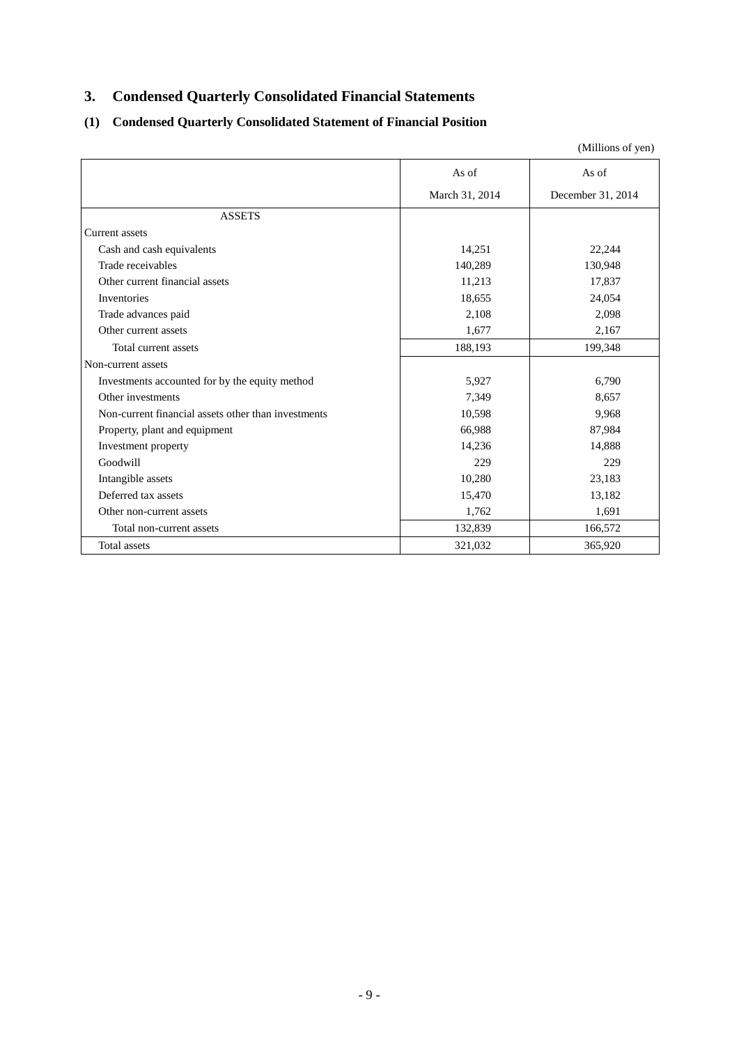## <span id="page-11-0"></span>**3. Condensed Quarterly Consolidated Financial Statements**

## <span id="page-11-1"></span>**(1) Condensed Quarterly Consolidated Statement of Financial Position**

|                                                     |                | (Millions of yen) |
|-----------------------------------------------------|----------------|-------------------|
|                                                     | As of          | As of             |
|                                                     | March 31, 2014 | December 31, 2014 |
| <b>ASSETS</b>                                       |                |                   |
| Current assets                                      |                |                   |
| Cash and cash equivalents                           | 14,251         | 22,244            |
| Trade receivables                                   | 140,289        | 130,948           |
| Other current financial assets                      | 11,213         | 17,837            |
| Inventories                                         | 18,655         | 24,054            |
| Trade advances paid                                 | 2,108          | 2,098             |
| Other current assets                                | 1,677          | 2,167             |
| Total current assets                                | 188,193        | 199,348           |
| Non-current assets                                  |                |                   |
| Investments accounted for by the equity method      | 5,927          | 6,790             |
| Other investments                                   | 7,349          | 8,657             |
| Non-current financial assets other than investments | 10,598         | 9,968             |
| Property, plant and equipment                       | 66,988         | 87,984            |
| Investment property                                 | 14,236         | 14,888            |
| Goodwill                                            | 229            | 229               |
| Intangible assets                                   | 10,280         | 23,183            |
| Deferred tax assets                                 | 15,470         | 13,182            |
| Other non-current assets                            | 1,762          | 1,691             |
| Total non-current assets                            | 132,839        | 166,572           |
| Total assets                                        | 321,032        | 365,920           |

- 9 -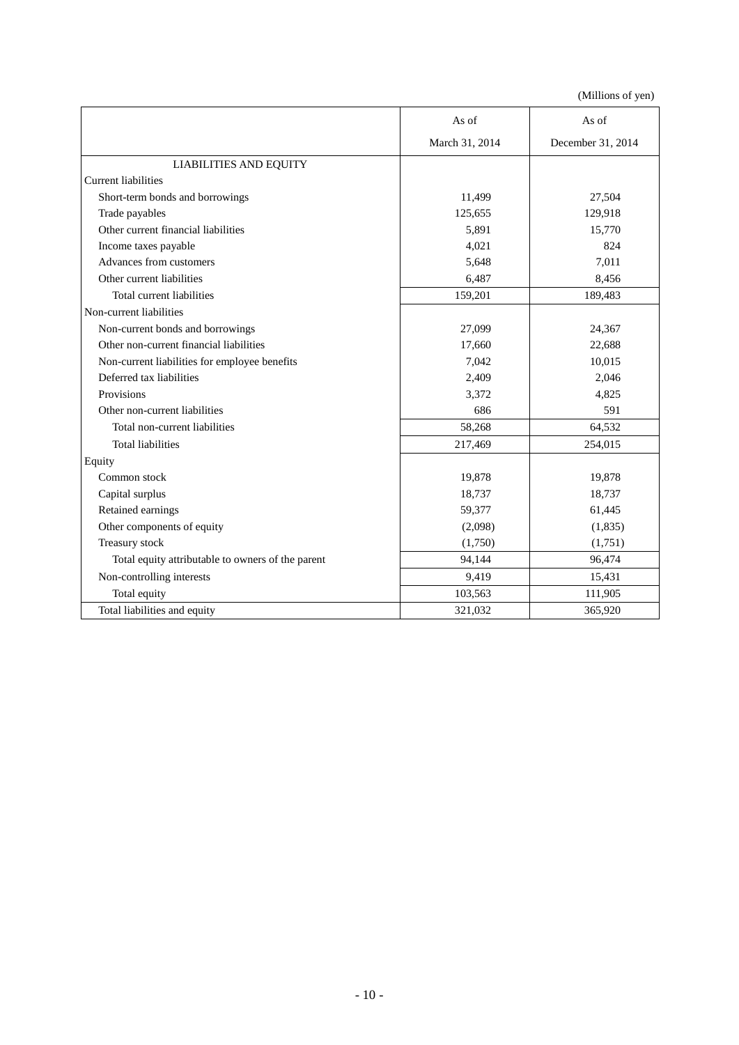|                                                   | As of          | As of             |
|---------------------------------------------------|----------------|-------------------|
|                                                   | March 31, 2014 | December 31, 2014 |
| <b>LIABILITIES AND EQUITY</b>                     |                |                   |
| <b>Current liabilities</b>                        |                |                   |
| Short-term bonds and borrowings                   | 11,499         | 27,504            |
| Trade payables                                    | 125,655        | 129,918           |
| Other current financial liabilities               | 5,891          | 15,770            |
| Income taxes payable                              | 4,021          | 824               |
| Advances from customers                           | 5,648          | 7.011             |
| Other current liabilities                         | 6,487          | 8,456             |
| Total current liabilities                         | 159,201        | 189,483           |
| Non-current liabilities                           |                |                   |
| Non-current bonds and borrowings                  | 27,099         | 24,367            |
| Other non-current financial liabilities           | 17,660         | 22,688            |
| Non-current liabilities for employee benefits     | 7,042          | 10,015            |
| Deferred tax liabilities                          | 2,409          | 2,046             |
| Provisions                                        | 3,372          | 4,825             |
| Other non-current liabilities                     | 686            | 591               |
| Total non-current liabilities                     | 58,268         | 64,532            |
| <b>Total liabilities</b>                          | 217,469        | 254,015           |
| Equity                                            |                |                   |
| Common stock                                      | 19,878         | 19,878            |
| Capital surplus                                   | 18,737         | 18,737            |
| Retained earnings                                 | 59,377         | 61,445            |
| Other components of equity                        | (2,098)        | (1, 835)          |
| Treasury stock                                    | (1,750)        | (1,751)           |
| Total equity attributable to owners of the parent | 94,144         | 96,474            |
| Non-controlling interests                         | 9,419          | 15,431            |
| Total equity                                      | 103,563        | 111,905           |
| Total liabilities and equity                      | 321,032        | 365,920           |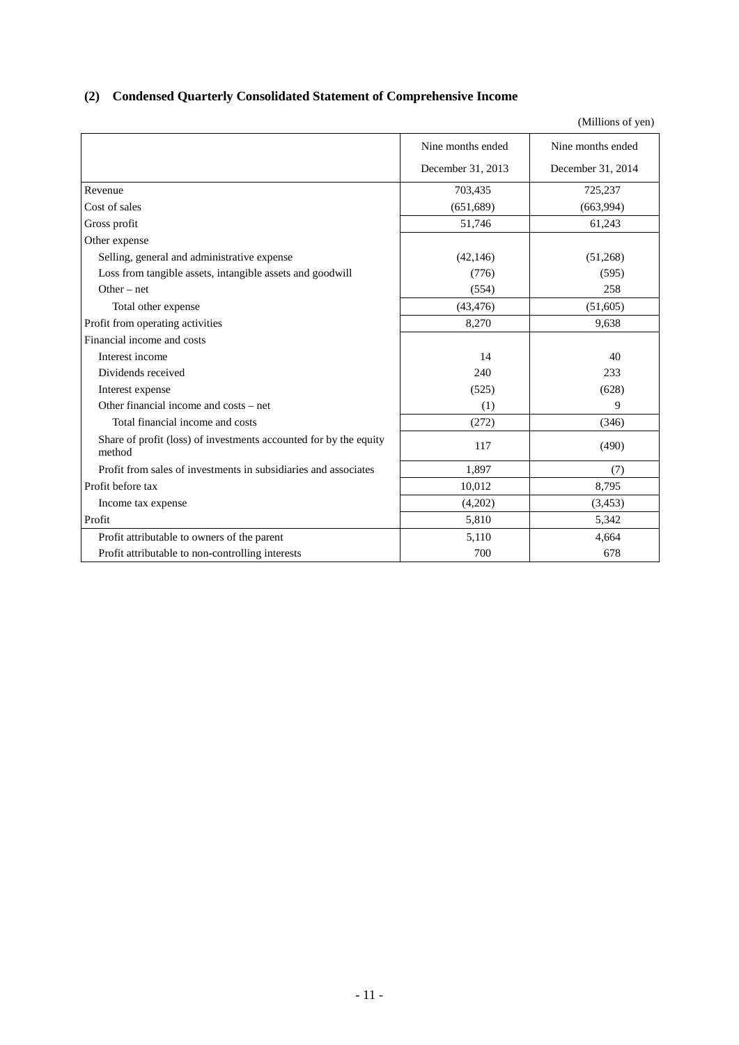## <span id="page-13-0"></span>**(2) Condensed Quarterly Consolidated Statement of Comprehensive Income**

|                                                                             | Nine months ended | Nine months ended |
|-----------------------------------------------------------------------------|-------------------|-------------------|
|                                                                             | December 31, 2013 | December 31, 2014 |
| Revenue                                                                     | 703,435           | 725,237           |
| Cost of sales                                                               | (651,689)         | (663,994)         |
| Gross profit                                                                | 51,746            | 61,243            |
| Other expense                                                               |                   |                   |
| Selling, general and administrative expense                                 | (42, 146)         | (51,268)          |
| Loss from tangible assets, intangible assets and goodwill                   | (776)             | (595)             |
| Other $-$ net                                                               | (554)             | 258               |
| Total other expense                                                         | (43, 476)         | (51,605)          |
| Profit from operating activities                                            | 8,270             | 9,638             |
| Financial income and costs                                                  |                   |                   |
| Interest income                                                             | 14                | 40                |
| Dividends received                                                          | 240               | 233               |
| Interest expense                                                            | (525)             | (628)             |
| Other financial income and costs – net                                      | (1)               | 9                 |
| Total financial income and costs                                            | (272)             | (346)             |
| Share of profit (loss) of investments accounted for by the equity<br>method | 117               | (490)             |
| Profit from sales of investments in subsidiaries and associates             | 1,897             | (7)               |
| Profit before tax                                                           | 10,012            | 8,795             |
| Income tax expense                                                          | (4,202)           | (3, 453)          |
| Profit                                                                      | 5,810             | 5,342             |
| Profit attributable to owners of the parent                                 | 5,110             | 4.664             |
| Profit attributable to non-controlling interests                            | 700               | 678               |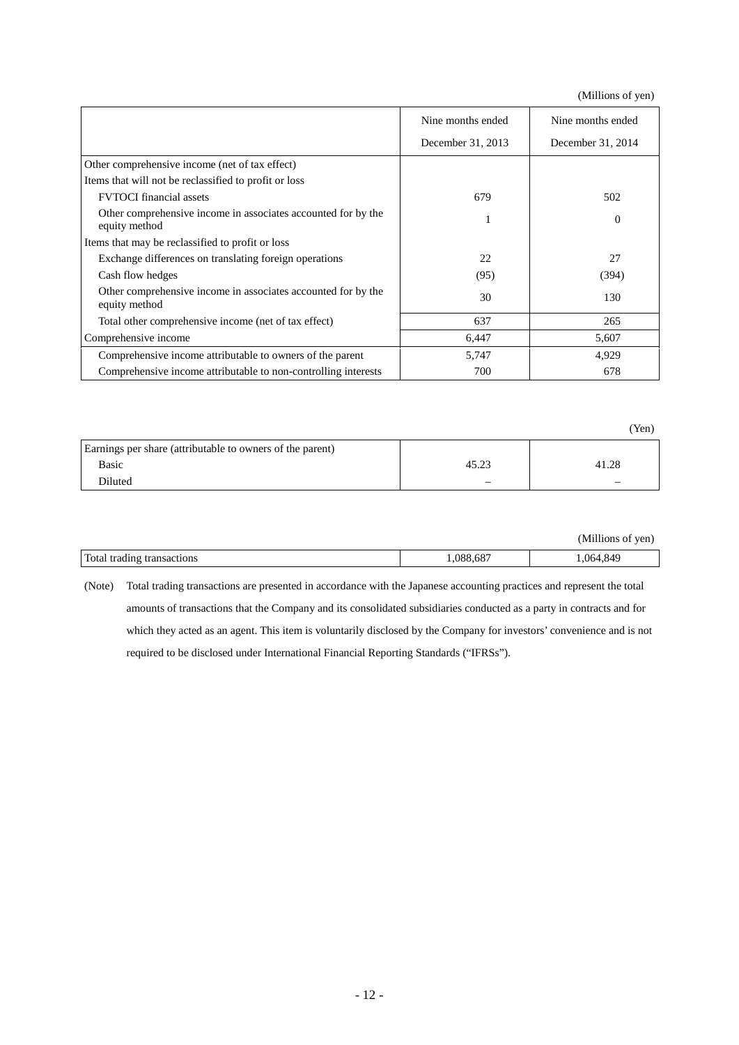(Millions of yen)

|                                                                                | Nine months ended | Nine months ended |
|--------------------------------------------------------------------------------|-------------------|-------------------|
|                                                                                | December 31, 2013 | December 31, 2014 |
| Other comprehensive income (net of tax effect)                                 |                   |                   |
| Items that will not be reclassified to profit or loss                          |                   |                   |
| <b>FVTOCI</b> financial assets                                                 | 679               | 502               |
| Other comprehensive income in associates accounted for by the<br>equity method |                   | $\Omega$          |
| Items that may be reclassified to profit or loss                               |                   |                   |
| Exchange differences on translating foreign operations                         | 22                | 27                |
| Cash flow hedges                                                               | (95)              | (394)             |
| Other comprehensive income in associates accounted for by the<br>equity method | 30                | 130               |
| Total other comprehensive income (net of tax effect)                           | 637               | 265               |
| Comprehensive income                                                           | 6,447             | 5,607             |
| Comprehensive income attributable to owners of the parent                      | 5,747             | 4,929             |
| Comprehensive income attributable to non-controlling interests                 | 700               | 678               |

|                                                           |       | (Yen) |
|-----------------------------------------------------------|-------|-------|
| Earnings per share (attributable to owners of the parent) |       |       |
| Basic                                                     | 45.23 | 41.28 |
| Diluted                                                   | -     | -     |

|                            |          | (Millions of yen) |
|----------------------------|----------|-------------------|
| Total trading transactions | ,088,687 | .064,849          |

(Note) Total trading transactions are presented in accordance with the Japanese accounting practices and represent the total amounts of transactions that the Company and its consolidated subsidiaries conducted as a party in contracts and for which they acted as an agent. This item is voluntarily disclosed by the Company for investors' convenience and is not required to be disclosed under International Financial Reporting Standards ("IFRSs").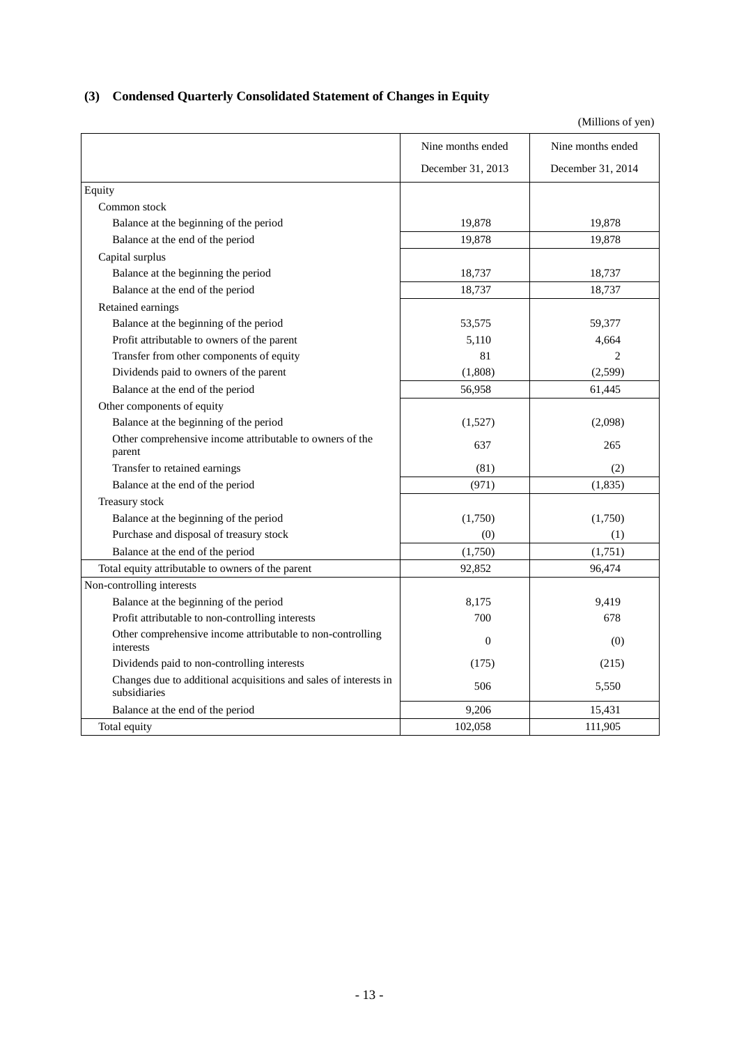## <span id="page-15-0"></span>**(3) Condensed Quarterly Consolidated Statement of Changes in Equity**

|                                                                                  | Nine months ended | Nine months ended |
|----------------------------------------------------------------------------------|-------------------|-------------------|
|                                                                                  | December 31, 2013 | December 31, 2014 |
| Equity                                                                           |                   |                   |
| Common stock                                                                     |                   |                   |
| Balance at the beginning of the period                                           | 19,878            | 19,878            |
| Balance at the end of the period                                                 | 19,878            | 19,878            |
| Capital surplus                                                                  |                   |                   |
| Balance at the beginning the period                                              | 18,737            | 18,737            |
| Balance at the end of the period                                                 | 18,737            | 18,737            |
| Retained earnings                                                                |                   |                   |
| Balance at the beginning of the period                                           | 53,575            | 59,377            |
| Profit attributable to owners of the parent                                      | 5,110             | 4,664             |
| Transfer from other components of equity                                         | 81                | $\overline{c}$    |
| Dividends paid to owners of the parent                                           | (1,808)           | (2,599)           |
| Balance at the end of the period                                                 | 56,958            | 61,445            |
| Other components of equity                                                       |                   |                   |
| Balance at the beginning of the period                                           | (1,527)           | (2,098)           |
| Other comprehensive income attributable to owners of the<br>parent               | 637               | 265               |
| Transfer to retained earnings                                                    | (81)              | (2)               |
| Balance at the end of the period                                                 | (971)             | (1, 835)          |
| Treasury stock                                                                   |                   |                   |
| Balance at the beginning of the period                                           | (1,750)           | (1,750)           |
| Purchase and disposal of treasury stock                                          | (0)               | (1)               |
| Balance at the end of the period                                                 | (1,750)           | (1,751)           |
| Total equity attributable to owners of the parent                                | 92,852            | 96,474            |
| Non-controlling interests                                                        |                   |                   |
| Balance at the beginning of the period                                           | 8,175             | 9,419             |
| Profit attributable to non-controlling interests                                 | 700               | 678               |
| Other comprehensive income attributable to non-controlling<br>interests          | $\mathbf{0}$      | (0)               |
| Dividends paid to non-controlling interests                                      | (175)             | (215)             |
| Changes due to additional acquisitions and sales of interests in<br>subsidiaries | 506               | 5,550             |
| Balance at the end of the period                                                 | 9,206             | 15,431            |
| Total equity                                                                     | 102,058           | 111,905           |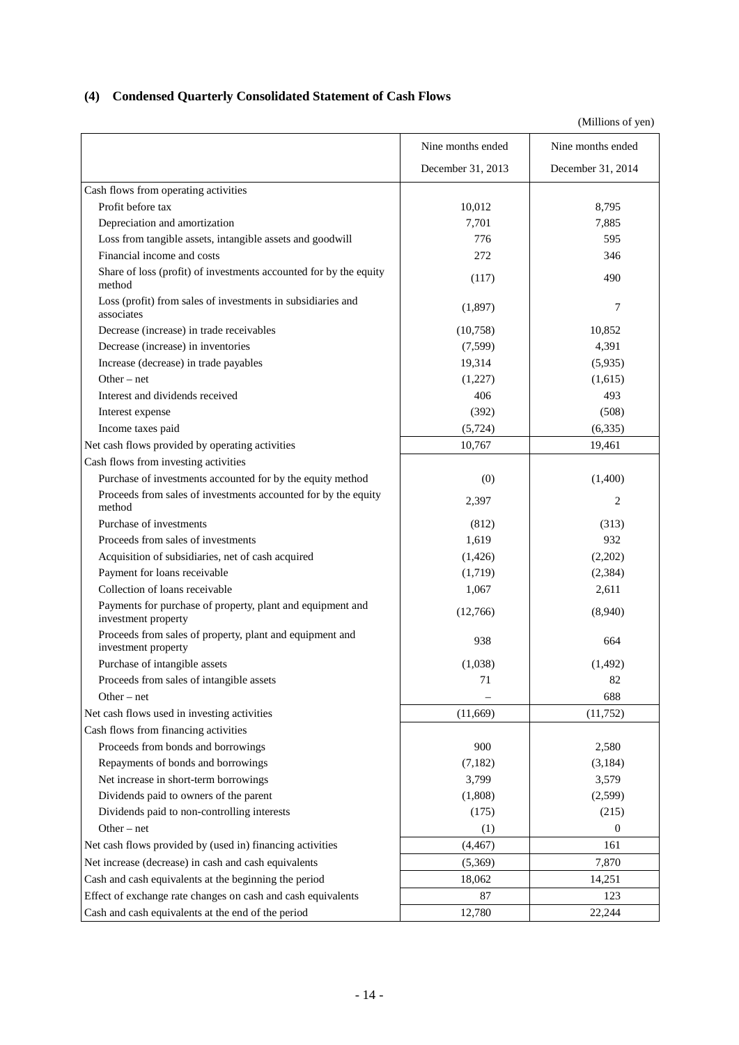## <span id="page-16-0"></span>**(4) Condensed Quarterly Consolidated Statement of Cash Flows**

|                                                                                   | Nine months ended | Nine months ended |
|-----------------------------------------------------------------------------------|-------------------|-------------------|
|                                                                                   | December 31, 2013 | December 31, 2014 |
| Cash flows from operating activities                                              |                   |                   |
| Profit before tax                                                                 | 10,012            | 8,795             |
| Depreciation and amortization                                                     | 7,701             | 7,885             |
| Loss from tangible assets, intangible assets and goodwill                         | 776               | 595               |
| Financial income and costs                                                        | 272               | 346               |
| Share of loss (profit) of investments accounted for by the equity<br>method       | (117)             | 490               |
| Loss (profit) from sales of investments in subsidiaries and<br>associates         | (1,897)           | 7                 |
| Decrease (increase) in trade receivables                                          | (10,758)          | 10,852            |
| Decrease (increase) in inventories                                                | (7,599)           | 4,391             |
| Increase (decrease) in trade payables                                             | 19,314            | (5,935)           |
| Other $-$ net                                                                     | (1,227)           | (1,615)           |
| Interest and dividends received                                                   | 406               | 493               |
| Interest expense                                                                  | (392)             | (508)             |
| Income taxes paid                                                                 | (5, 724)          | (6, 335)          |
| Net cash flows provided by operating activities                                   | 10,767            | 19,461            |
| Cash flows from investing activities                                              |                   |                   |
| Purchase of investments accounted for by the equity method                        | (0)               | (1,400)           |
| Proceeds from sales of investments accounted for by the equity<br>method          | 2,397             | 2                 |
| Purchase of investments                                                           | (812)             | (313)             |
| Proceeds from sales of investments                                                | 1,619             | 932               |
| Acquisition of subsidiaries, net of cash acquired                                 | (1,426)           | (2,202)           |
| Payment for loans receivable                                                      | (1,719)           | (2, 384)          |
| Collection of loans receivable                                                    | 1,067             | 2,611             |
| Payments for purchase of property, plant and equipment and<br>investment property | (12,766)          | (8,940)           |
| Proceeds from sales of property, plant and equipment and<br>investment property   | 938               | 664               |
| Purchase of intangible assets                                                     | (1,038)           | (1, 492)          |
| Proceeds from sales of intangible assets                                          | 71                | 82                |
| Other $-$ net                                                                     |                   | 688               |
| Net cash flows used in investing activities                                       | (11,669)          | (11,752)          |
| Cash flows from financing activities                                              |                   |                   |
| Proceeds from bonds and borrowings                                                | 900               | 2,580             |
| Repayments of bonds and borrowings                                                | (7,182)           | (3,184)           |
| Net increase in short-term borrowings                                             | 3,799             | 3,579             |
| Dividends paid to owners of the parent                                            | (1,808)           | (2,599)           |
| Dividends paid to non-controlling interests                                       | (175)             | (215)             |
| Other $-$ net                                                                     | (1)               | 0                 |
| Net cash flows provided by (used in) financing activities                         | (4, 467)          | 161               |
| Net increase (decrease) in cash and cash equivalents                              | (5,369)           | 7,870             |
| Cash and cash equivalents at the beginning the period                             | 18,062            | 14,251            |
| Effect of exchange rate changes on cash and cash equivalents                      | 87                | 123               |
| Cash and cash equivalents at the end of the period                                | 12,780            | 22,244            |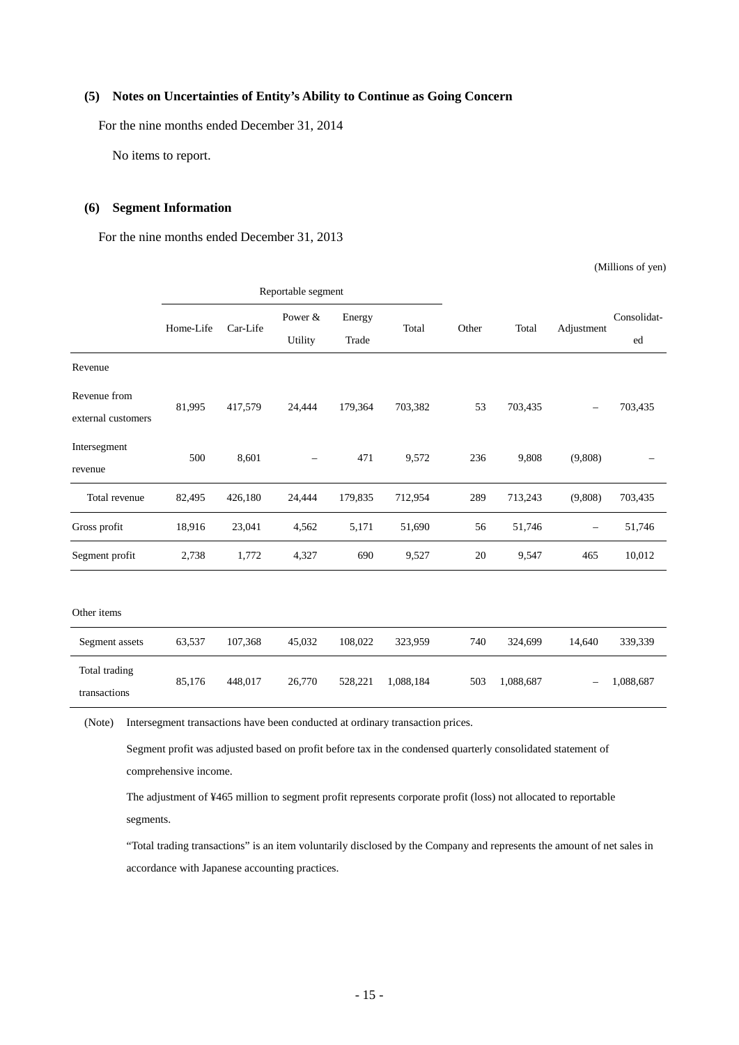### <span id="page-17-0"></span>**(5) Notes on Uncertainties of Entity's Ability to Continue as Going Concern**

For the nine months ended December 31, 2014

No items to report.

#### <span id="page-17-1"></span>**(6) Segment Information**

For the nine months ended December 31, 2013

(Millions of yen)

|                                    | Reportable segment |          |                          |         |           |       |           |                          |             |
|------------------------------------|--------------------|----------|--------------------------|---------|-----------|-------|-----------|--------------------------|-------------|
|                                    | Home-Life          | Car-Life | Power &                  | Energy  | Total     | Other | Total     | Adjustment               | Consolidat- |
|                                    |                    |          | Utility                  | Trade   |           |       |           |                          | ed          |
| Revenue                            |                    |          |                          |         |           |       |           |                          |             |
| Revenue from<br>external customers | 81,995             | 417,579  | 24,444                   | 179,364 | 703,382   | 53    | 703,435   |                          | 703,435     |
| Intersegment<br>revenue            | 500                | 8,601    | $\overline{\phantom{0}}$ | 471     | 9,572     | 236   | 9,808     | (9,808)                  |             |
| Total revenue                      | 82,495             | 426,180  | 24,444                   | 179,835 | 712,954   | 289   | 713,243   | (9,808)                  | 703,435     |
| Gross profit                       | 18,916             | 23,041   | 4,562                    | 5,171   | 51,690    | 56    | 51,746    | $\overline{\phantom{m}}$ | 51,746      |
| Segment profit                     | 2,738              | 1,772    | 4,327                    | 690     | 9,527     | 20    | 9,547     | 465                      | 10,012      |
| Other items                        |                    |          |                          |         |           |       |           |                          |             |
| Segment assets                     | 63,537             | 107,368  | 45,032                   | 108,022 | 323,959   | 740   | 324,699   | 14,640                   | 339,339     |
| Total trading<br>transactions      | 85,176             | 448,017  | 26,770                   | 528,221 | 1,088,184 | 503   | 1,088,687 | ۰                        | 1,088,687   |

(Note) Intersegment transactions have been conducted at ordinary transaction prices.

Segment profit was adjusted based on profit before tax in the condensed quarterly consolidated statement of comprehensive income.

The adjustment of ¥465 million to segment profit represents corporate profit (loss) not allocated to reportable segments.

"Total trading transactions" is an item voluntarily disclosed by the Company and represents the amount of net sales in accordance with Japanese accounting practices.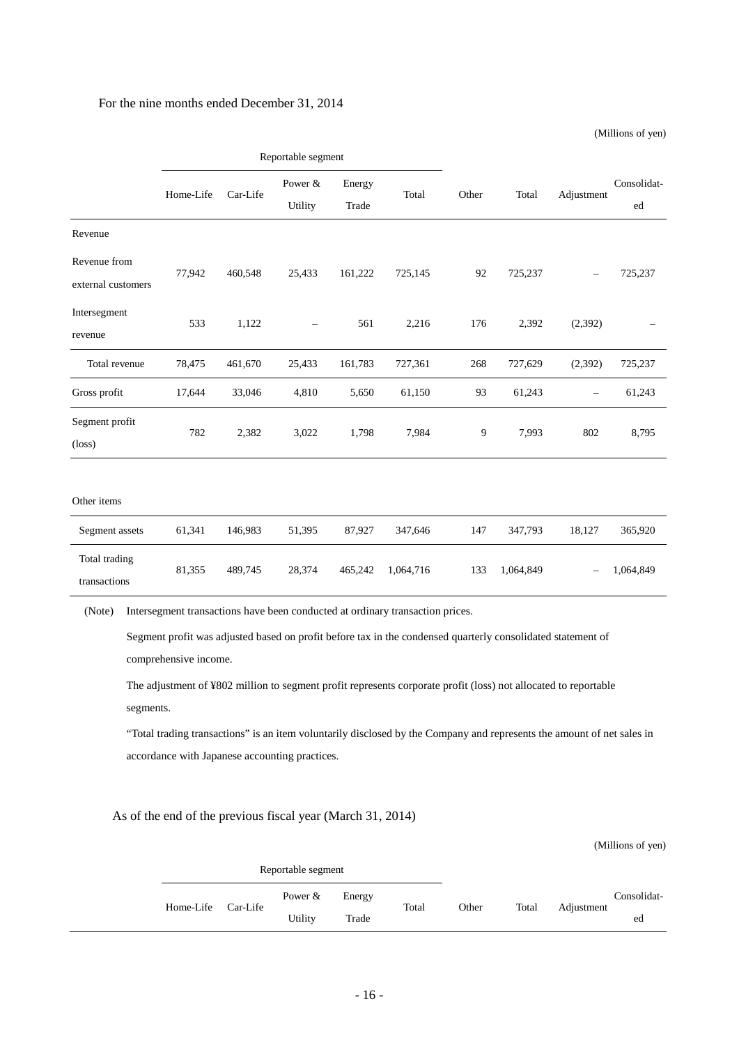#### For the nine months ended December 31, 2014

(Millions of yen)

|                                    | Reportable segment |          |                    |                 |           |       |           |                   |                   |
|------------------------------------|--------------------|----------|--------------------|-----------------|-----------|-------|-----------|-------------------|-------------------|
|                                    | Home-Life          | Car-Life | Power &<br>Utility | Energy<br>Trade | Total     | Other | Total     | Adjustment        | Consolidat-<br>ed |
| Revenue                            |                    |          |                    |                 |           |       |           |                   |                   |
| Revenue from<br>external customers | 77,942             | 460,548  | 25,433             | 161,222         | 725,145   | 92    | 725,237   |                   | 725,237           |
| Intersegment<br>revenue            | 533                | 1,122    | $\qquad \qquad -$  | 561             | 2,216     | 176   | 2,392     | (2,392)           |                   |
| Total revenue                      | 78,475             | 461,670  | 25,433             | 161,783         | 727,361   | 268   | 727,629   | (2,392)           | 725,237           |
| Gross profit                       | 17,644             | 33,046   | 4,810              | 5,650           | 61,150    | 93    | 61,243    | $\qquad \qquad -$ | 61,243            |
| Segment profit<br>$(\text{loss})$  | 782                | 2,382    | 3,022              | 1,798           | 7,984     | 9     | 7,993     | 802               | 8,795             |
| Other items                        |                    |          |                    |                 |           |       |           |                   |                   |
| Segment assets                     | 61,341             | 146,983  | 51,395             | 87,927          | 347,646   | 147   | 347,793   | 18,127            | 365,920           |
| Total trading<br>transactions      | 81,355             | 489,745  | 28,374             | 465,242         | 1,064,716 | 133   | 1,064,849 |                   | 1,064,849         |
|                                    |                    |          |                    |                 |           |       |           |                   |                   |

(Note) Intersegment transactions have been conducted at ordinary transaction prices.

Segment profit was adjusted based on profit before tax in the condensed quarterly consolidated statement of comprehensive income.

The adjustment of ¥802 million to segment profit represents corporate profit (loss) not allocated to reportable segments.

"Total trading transactions" is an item voluntarily disclosed by the Company and represents the amount of net sales in accordance with Japanese accounting practices.

As of the end of the previous fiscal year (March 31, 2014)

|           |          | Reportable segment |        |       |       |       |            |             |
|-----------|----------|--------------------|--------|-------|-------|-------|------------|-------------|
| Home-Life | Car-Life | Power $&$          | Energy | Total | Other | Total | Adjustment | Consolidat- |
|           |          | Utility            | Trade  |       |       |       |            | ed          |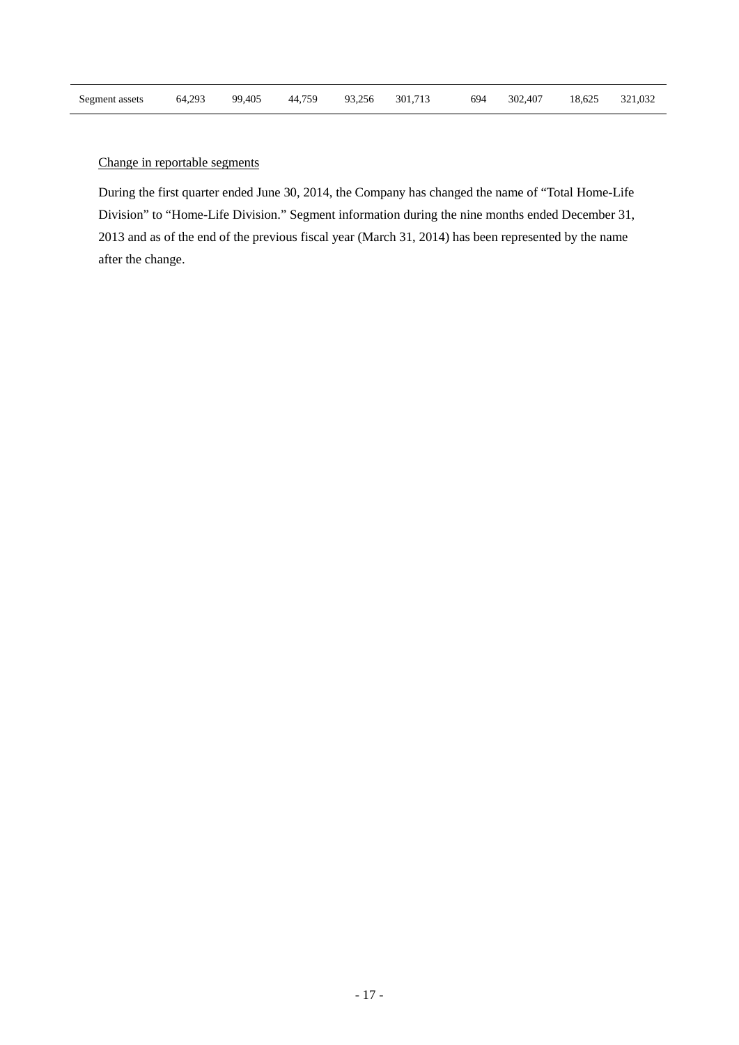## Change in reportable segments

During the first quarter ended June 30, 2014, the Company has changed the name of "Total Home-Life Division" to "Home-Life Division." Segment information during the nine months ended December 31, 2013 and as of the end of the previous fiscal year (March 31, 2014) has been represented by the name after the change.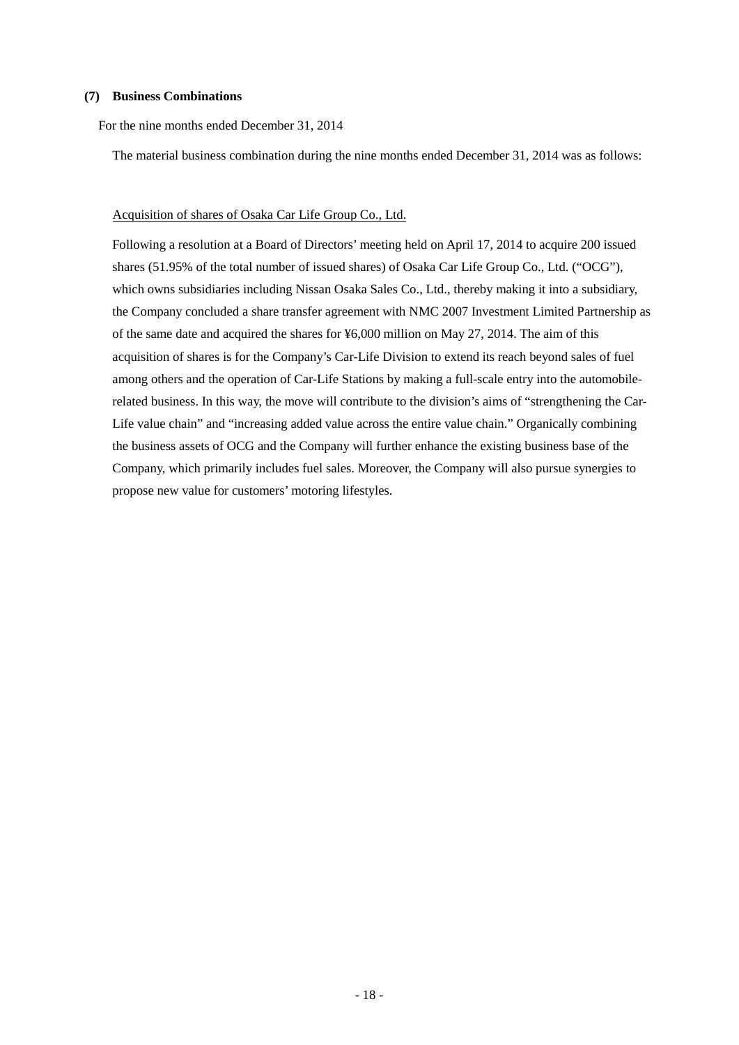#### <span id="page-20-0"></span>**(7) Business Combinations**

For the nine months ended December 31, 2014

The material business combination during the nine months ended December 31, 2014 was as follows:

#### Acquisition of shares of Osaka Car Life Group Co., Ltd.

Following a resolution at a Board of Directors' meeting held on April 17, 2014 to acquire 200 issued shares (51.95% of the total number of issued shares) of Osaka Car Life Group Co., Ltd. ("OCG"), which owns subsidiaries including Nissan Osaka Sales Co., Ltd., thereby making it into a subsidiary, the Company concluded a share transfer agreement with NMC 2007 Investment Limited Partnership as of the same date and acquired the shares for ¥6,000 million on May 27, 2014. The aim of this acquisition of shares is for the Company's Car-Life Division to extend its reach beyond sales of fuel among others and the operation of Car-Life Stations by making a full-scale entry into the automobilerelated business. In this way, the move will contribute to the division's aims of "strengthening the Car-Life value chain" and "increasing added value across the entire value chain." Organically combining the business assets of OCG and the Company will further enhance the existing business base of the Company, which primarily includes fuel sales. Moreover, the Company will also pursue synergies to propose new value for customers' motoring lifestyles.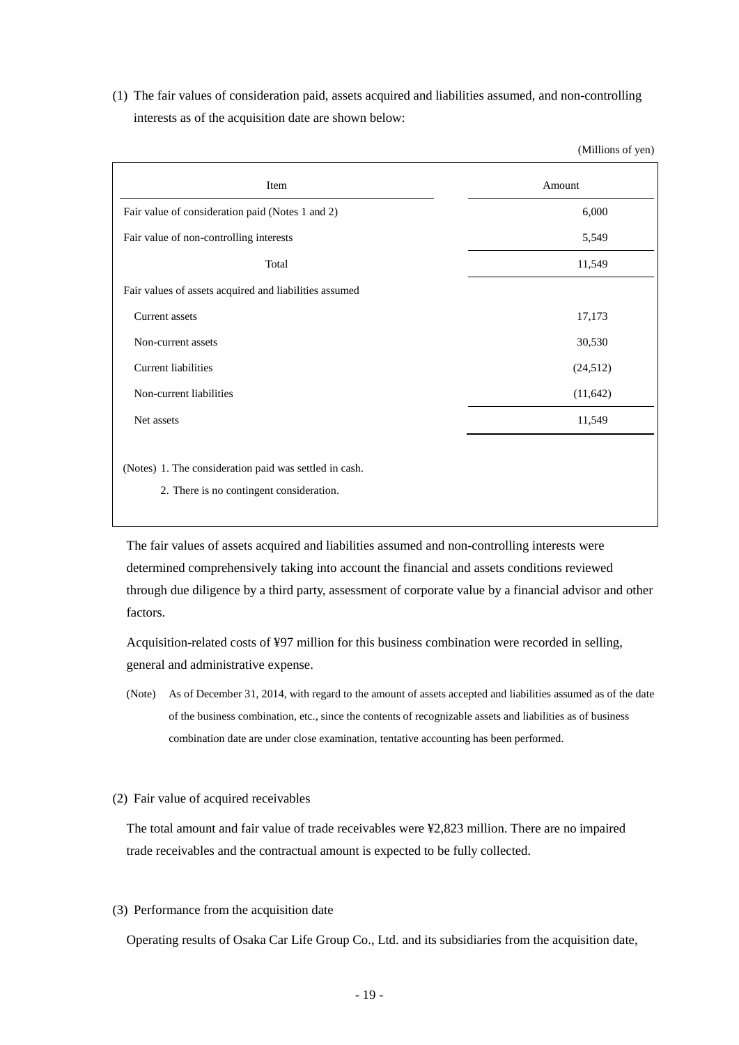(1) The fair values of consideration paid, assets acquired and liabilities assumed, and non-controlling interests as of the acquisition date are shown below:

(Millions of yen)

| Item                                                   | Amount    |
|--------------------------------------------------------|-----------|
| Fair value of consideration paid (Notes 1 and 2)       | 6,000     |
| Fair value of non-controlling interests                | 5,549     |
| Total                                                  | 11,549    |
| Fair values of assets acquired and liabilities assumed |           |
| Current assets                                         | 17,173    |
| Non-current assets                                     | 30,530    |
| <b>Current liabilities</b>                             | (24,512)  |
| Non-current liabilities                                | (11, 642) |
| Net assets                                             | 11,549    |
|                                                        |           |
| (Notes) 1. The consideration paid was settled in cash. |           |
| 2. There is no contingent consideration.               |           |

The fair values of assets acquired and liabilities assumed and non-controlling interests were determined comprehensively taking into account the financial and assets conditions reviewed through due diligence by a third party, assessment of corporate value by a financial advisor and other factors.

Acquisition-related costs of ¥97 million for this business combination were recorded in selling, general and administrative expense.

(Note) As of December 31, 2014, with regard to the amount of assets accepted and liabilities assumed as of the date of the business combination, etc., since the contents of recognizable assets and liabilities as of business combination date are under close examination, tentative accounting has been performed.

#### (2) Fair value of acquired receivables

The total amount and fair value of trade receivables were ¥2,823 million. There are no impaired trade receivables and the contractual amount is expected to be fully collected.

(3) Performance from the acquisition date

Operating results of Osaka Car Life Group Co., Ltd. and its subsidiaries from the acquisition date,